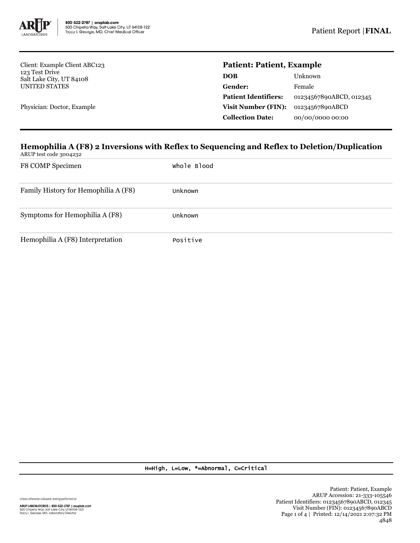

Client: Example Client ABC123 123 Test Drive Salt Lake City, UT 84108 UNITED STATES

Physician: Doctor, Example

## **Patient: Patient, Example**

| Unknown                 |
|-------------------------|
| Female                  |
| 01234567890ABCD, 012345 |
| 01234567890ABCD         |
| 00/00/0000 00:00        |
|                         |

## **Hemophilia A (F8) 2 Inversions with Reflex to Sequencing and Reflex to Deletion/Duplication**

ARUP test code 3004232

| F8 COMP Specimen                     | Whole Blood |
|--------------------------------------|-------------|
| Family History for Hemophilia A (F8) | Unknown     |
| Symptoms for Hemophilia A (F8)       | Unknown     |
| Hemophilia A (F8) Interpretation     | Positive    |

H=High, L=Low, \*=Abnormal, C=Critical

Unless otherwise indicated, testing performed at: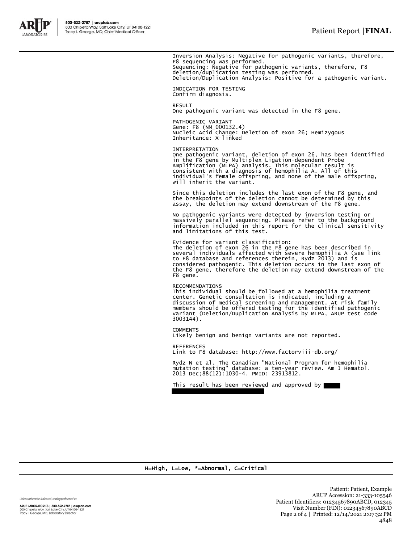

Inversion Analysis: Negative for pathogenic variants, therefore, F8 sequencing was performed. Sequencing: Negative for pathogenic variants, therefore, F8 deletion/duplication testing was performed. Deletion/Duplication Analysis: Positive for a pathogenic variant. INDICATION FOR TESTING Confirm diagnosis. **RESULT** One pathogenic variant was detected in the F8 gene.

PATHOGENIC VARIANT Gene: F8 (NM\_000132.4) Nucleic Acid Change: Deletion of exon 26; Hemizygous Inheritance: X-linked

INTERPRETATION One pathogenic variant, deletion of exon 26, has been identified in the F8 gene by Multiplex Ligation-dependent Probe Amplification (MLPA) analysis. This molecular result is consistent with a diagnosis of hemophilia A. All of this individual's female offspring, and none of the male offspring, will inherit the variant.

Since this deletion includes the last exon of the F8 gene, and the breakpoints of the deletion cannot be determined by this assay, the deletion may extend downstream of the F8 gene.

No pathogenic variants were detected by inversion testing or massively parallel sequencing. Please refer to the background information included in this report for the clinical sensitivity and limitations of this test.

Evidence for variant classification: The deletion of exon 26 in the F8 gene has been described in several individuals affected with severe hemophilia A (see link to F8 database and references therein, Rydz 2013) and is considered pathogenic. This deletion occurs in the last exon of the F8 gene, therefore the deletion may extend downstream of the F8 gene.

RECOMMENDATIONS This individual should be followed at a hemophilia treatment<br>center. Genetic consultation is indicated, including a<br>discussion of medical screening and management. At risk family<br>members should be offered testing for the i 3003144).

**COMMENTS** Likely benign and benign variants are not reported.

**REFERENCES** Link to F8 database: http://www.factorviii-db.org/

Rydz N et al. The Canadian "National Program for hemophilia mutation testing" database: a ten-year review. Am J Hematol. 2013 Dec;88(12):1030-4. PMID: 23913812.

This result has been reviewed and approved by



H=High, L=Low, \*=Abnormal, C=Critical

Unless otherwise indicated, testing performed at:

ARUP LABORATORIES | 800-522-2787 | aruplab.com 500 Chipeta Way, Salt Lake City, UT 84108-1221<br>Tracy I. George, MD, Laboratory Director

Patient: Patient, Example ARUP Accession: 21-333-105546 Patient Identifiers: 01234567890ABCD, 012345 Visit Number (FIN): 01234567890ABCD Page 2 of 4 | Printed: 12/14/2021 2:07:32 PM 4848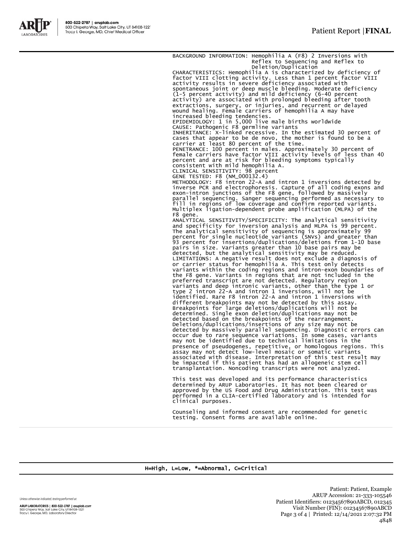

BACKGROUND INFORMATION: Hemophilia A (F8) 2 Inversions with Reflex to Sequencing and Reflex to Deletion/Duplication CHARACTERISTICS: Hemophilia A is characterized by deficiency of factor VIII clotting activity. Less than 1 percent factor VIII activity results in severe deficiency associated with<br>spontaneous joint or deep muscle bleeding. Moderate deficiency<br>(1-5 percent activity) and mild deficiency (6-40 percent<br>activity) are associated with prolonged bleeding increased bleeding tendencies. EPIDEMIOLOGY: 1 in 5,000 live male births worldwide CAUSE: Pathogenic F8 germline variants INHERITANCE: X-linked recessive. In the estimated 30 percent of cases that appear to be de novo, the mother is found to be a carrier at least 80 percent of the time. PENETRANCE: 100 percent in males. Approximately 30 percent of female carriers have factor VIII activity levels of less than 40 percent and are at risk for bleeding symptoms typically consistent with mild hemophilia A. CLINICAL SENSITIVITY: 98 percent GENE TESTED: F8 (NM\_000132.4) METHODOLOGY: F8 intron 22-A and intron 1 inversions detected by inverse PCR and electrophoresis. Capture of all coding exons and exon-intron junctions of the F8 gene, followed by massively parallel sequencing. Sanger sequencing performed as necessary to fill in regions of low coverage and confirm reported variants. Multiplex ligation-dependent probe amplification (MLPA) of the F8 gene. ANALYTICAL SENSITIVITY/SPECIFICITY: The analytical sensitivity and specificity for inversion analysis and MLPA is 99 percent. The analytical sensitivity of sequencing is approximately 99 percent for single nucleotide variants (SNVs) and greater than 93 percent for insertions/duplications/deletions from 1-10 base pairs in size. Variants greater than 10 base pairs may be<br>detected, but the analytical sensitivity may be reduced.<br>LIMITATIONS: A negative result does not exclude a diagnosis of<br>or carrier status for hemophilia A. This tes the F8 gene. Variants in regions that are not included in the preferred transcript are not detected. Regulatory region variants and deep intronic variants, other than the type 1 or<br>type 2 intron 22-A and intron 1 inversions, will not be<br>identified. Rare F8 intron 22-A and intron 1 inversions<br>different breakpoints may not be detected by thi detected based on the breakpoints of the rearrangement.<br>Deletions/duplications/insertions of any size may not be<br>detected by massively parallel sequencing. Diagnostic errors can<br>occur due to rare sequence variations. In so transplantation. Noncoding transcripts were not analyzed. This test was developed and its performance characteristics

determined by ARUP Laboratories. It has not been cleared or approved by the US Food and Drug Administration. This test was performed in a CLIA-certified laboratory and is intended for clinical purposes.

Counseling and informed consent are recommended for genetic testing. Consent forms are available online.

## H=High, L=Low, \*=Abnormal, C=Critical

Unless otherwise indicated, testing performed at:

ARUP LABORATORIES | 800-522-2787 | aruplab.com 500 Chipeta Way, Salt Lake City, UT 84108-1221<br>Tracy I. George, MD, Laboratory Director

Patient: Patient, Example ARUP Accession: 21-333-105546 Patient Identifiers: 01234567890ABCD, 012345 Visit Number (FIN): 01234567890ABCD Page 3 of 4 | Printed: 12/14/2021 2:07:32 PM 4848